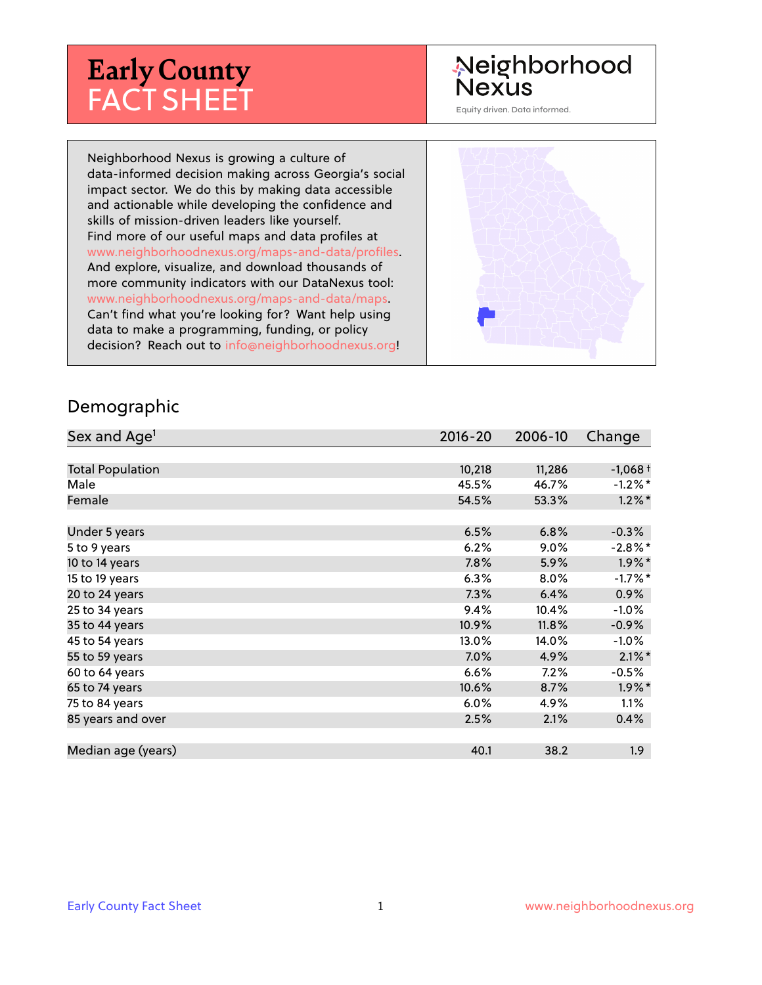# **Early County** FACT SHEET

# Neighborhood Nexus

Equity driven. Data informed.

Neighborhood Nexus is growing a culture of data-informed decision making across Georgia's social impact sector. We do this by making data accessible and actionable while developing the confidence and skills of mission-driven leaders like yourself. Find more of our useful maps and data profiles at www.neighborhoodnexus.org/maps-and-data/profiles. And explore, visualize, and download thousands of more community indicators with our DataNexus tool: www.neighborhoodnexus.org/maps-and-data/maps. Can't find what you're looking for? Want help using data to make a programming, funding, or policy decision? Reach out to [info@neighborhoodnexus.org!](mailto:info@neighborhoodnexus.org)



#### Demographic

| Sex and Age <sup>1</sup> | $2016 - 20$ | 2006-10 | Change               |
|--------------------------|-------------|---------|----------------------|
|                          |             |         |                      |
| <b>Total Population</b>  | 10,218      | 11,286  | $-1,068+$            |
| Male                     | 45.5%       | 46.7%   | $-1.2\%$ *           |
| Female                   | 54.5%       | 53.3%   | $1.2\%$ *            |
|                          |             |         |                      |
| Under 5 years            | 6.5%        | 6.8%    | $-0.3%$              |
| 5 to 9 years             | 6.2%        | $9.0\%$ | $-2.8\%$ *           |
| 10 to 14 years           | 7.8%        | 5.9%    | $1.9\%$ *            |
| 15 to 19 years           | 6.3%        | 8.0%    | $-1.7%$ *            |
| 20 to 24 years           | 7.3%        | 6.4%    | 0.9%                 |
| 25 to 34 years           | 9.4%        | 10.4%   | $-1.0%$              |
| 35 to 44 years           | 10.9%       | 11.8%   | $-0.9%$              |
| 45 to 54 years           | 13.0%       | 14.0%   | $-1.0\%$             |
| 55 to 59 years           | 7.0%        | 4.9%    | $2.1\%$ *            |
| 60 to 64 years           | 6.6%        | 7.2%    | $-0.5%$              |
| 65 to 74 years           | 10.6%       | 8.7%    | $1.9\%$ <sup>*</sup> |
| 75 to 84 years           | 6.0%        | 4.9%    | $1.1\%$              |
| 85 years and over        | 2.5%        | 2.1%    | 0.4%                 |
|                          |             |         |                      |
| Median age (years)       | 40.1        | 38.2    | 1.9 <sub>2</sub>     |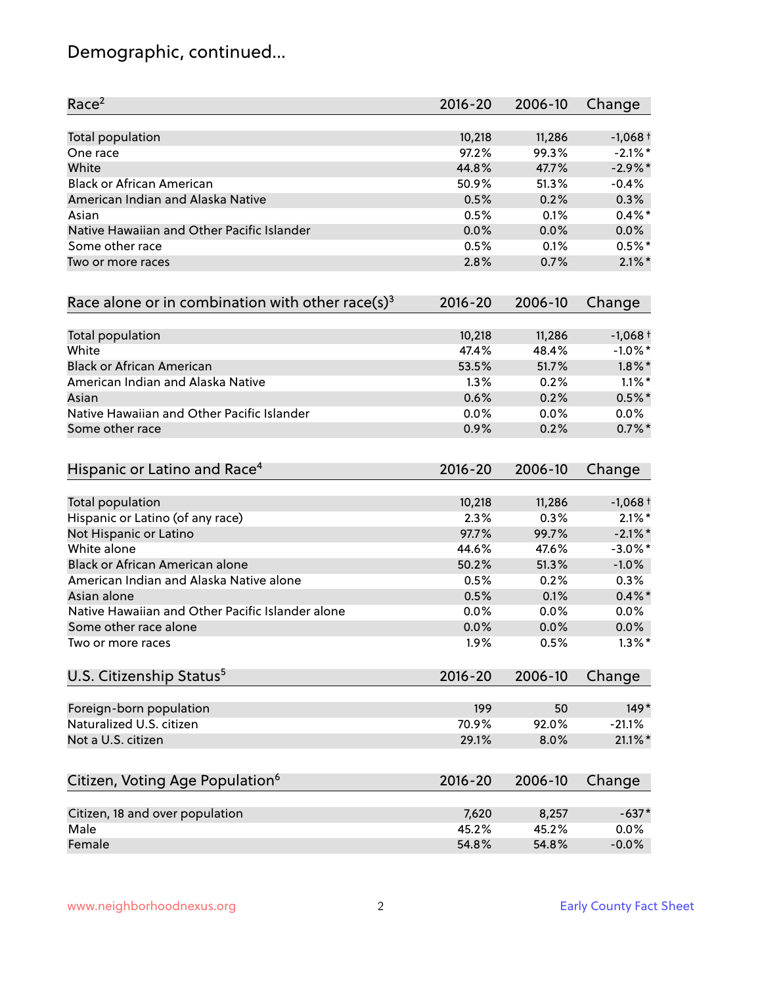# Demographic, continued...

| Race <sup>2</sup>                                   | $2016 - 20$ | 2006-10 | Change     |
|-----------------------------------------------------|-------------|---------|------------|
| <b>Total population</b>                             | 10,218      | 11,286  | $-1,068+$  |
| One race                                            | 97.2%       | 99.3%   | $-2.1\%$ * |
| White                                               | 44.8%       | 47.7%   | $-2.9\%$ * |
| <b>Black or African American</b>                    | 50.9%       | 51.3%   | $-0.4%$    |
| American Indian and Alaska Native                   | 0.5%        | 0.2%    | 0.3%       |
| Asian                                               | 0.5%        | 0.1%    | $0.4\%$ *  |
| Native Hawaiian and Other Pacific Islander          | 0.0%        | 0.0%    | 0.0%       |
| Some other race                                     | 0.5%        | 0.1%    | $0.5%$ *   |
| Two or more races                                   | 2.8%        | 0.7%    | $2.1\%$ *  |
| Race alone or in combination with other race(s) $3$ | $2016 - 20$ | 2006-10 | Change     |
| Total population                                    | 10,218      | 11,286  | $-1,068+$  |
| White                                               | 47.4%       | 48.4%   | $-1.0\%$ * |
| <b>Black or African American</b>                    | 53.5%       | 51.7%   | $1.8\%$ *  |
| American Indian and Alaska Native                   | 1.3%        | 0.2%    | $1.1\%$ *  |
| Asian                                               | 0.6%        | 0.2%    | $0.5%$ *   |
| Native Hawaiian and Other Pacific Islander          | 0.0%        | 0.0%    | 0.0%       |
| Some other race                                     | 0.9%        | 0.2%    | $0.7%$ *   |
| Hispanic or Latino and Race <sup>4</sup>            | $2016 - 20$ | 2006-10 | Change     |
| <b>Total population</b>                             | 10,218      | 11,286  | $-1,068+$  |
| Hispanic or Latino (of any race)                    | 2.3%        | 0.3%    | $2.1\%$ *  |
| Not Hispanic or Latino                              | 97.7%       | 99.7%   | $-2.1\%$ * |
| White alone                                         | 44.6%       | 47.6%   | $-3.0\%$ * |
| Black or African American alone                     | 50.2%       | 51.3%   | $-1.0%$    |
| American Indian and Alaska Native alone             | 0.5%        | 0.2%    | 0.3%       |
| Asian alone                                         | 0.5%        | 0.1%    | $0.4\%$ *  |
| Native Hawaiian and Other Pacific Islander alone    | 0.0%        | 0.0%    | 0.0%       |
| Some other race alone                               | 0.0%        | 0.0%    | $0.0\%$    |
| Two or more races                                   | 1.9%        | 0.5%    | $1.3\%$ *  |
| U.S. Citizenship Status <sup>5</sup>                | $2016 - 20$ | 2006-10 | Change     |
| Foreign-born population                             | 199         | 50      | $149*$     |
| Naturalized U.S. citizen                            | 70.9%       | 92.0%   | $-21.1%$   |
| Not a U.S. citizen                                  | 29.1%       | 8.0%    | $21.1\%$ * |
| Citizen, Voting Age Population <sup>6</sup>         | $2016 - 20$ | 2006-10 | Change     |
| Citizen, 18 and over population                     | 7,620       | 8,257   | $-637*$    |
| Male                                                | 45.2%       | 45.2%   | 0.0%       |
| Female                                              | 54.8%       | 54.8%   | $-0.0%$    |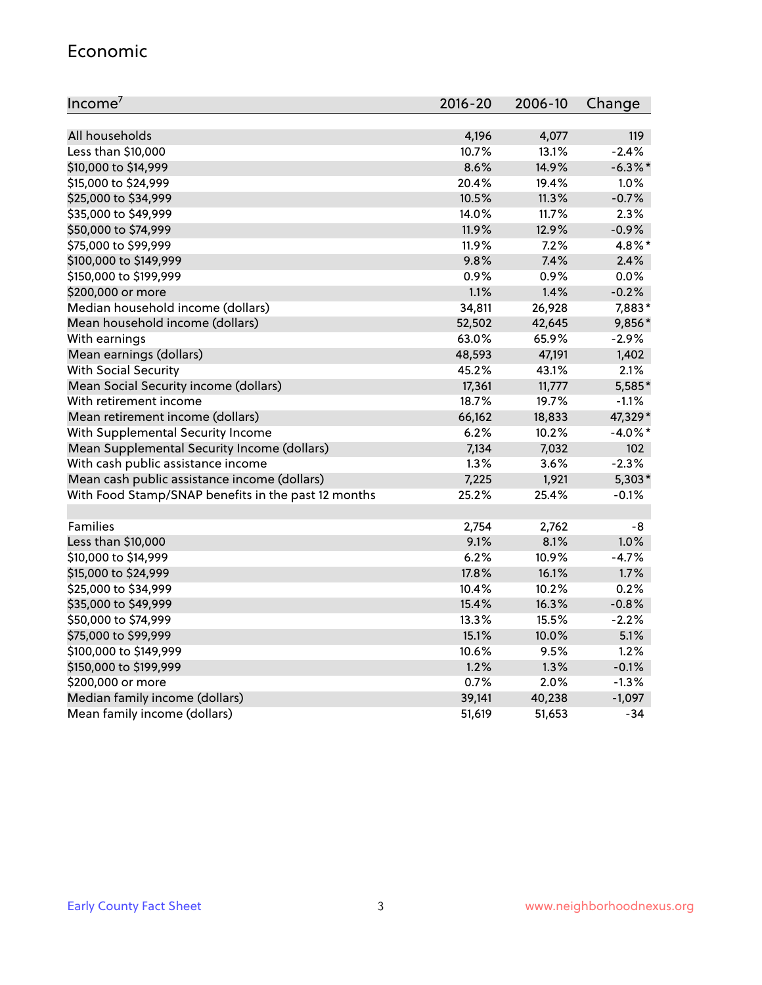#### Economic

| Income <sup>7</sup>                                 | 2016-20 | 2006-10 | Change     |
|-----------------------------------------------------|---------|---------|------------|
|                                                     |         |         |            |
| All households                                      | 4,196   | 4,077   | 119        |
| Less than \$10,000                                  | 10.7%   | 13.1%   | $-2.4%$    |
| \$10,000 to \$14,999                                | 8.6%    | 14.9%   | $-6.3\%$ * |
| \$15,000 to \$24,999                                | 20.4%   | 19.4%   | 1.0%       |
| \$25,000 to \$34,999                                | 10.5%   | 11.3%   | $-0.7%$    |
| \$35,000 to \$49,999                                | 14.0%   | 11.7%   | 2.3%       |
| \$50,000 to \$74,999                                | 11.9%   | 12.9%   | $-0.9%$    |
| \$75,000 to \$99,999                                | 11.9%   | 7.2%    | 4.8%*      |
| \$100,000 to \$149,999                              | 9.8%    | 7.4%    | 2.4%       |
| \$150,000 to \$199,999                              | 0.9%    | 0.9%    | 0.0%       |
| \$200,000 or more                                   | 1.1%    | 1.4%    | $-0.2%$    |
| Median household income (dollars)                   | 34,811  | 26,928  | 7,883*     |
| Mean household income (dollars)                     | 52,502  | 42,645  | 9,856*     |
| With earnings                                       | 63.0%   | 65.9%   | $-2.9%$    |
| Mean earnings (dollars)                             | 48,593  | 47,191  | 1,402      |
| <b>With Social Security</b>                         | 45.2%   | 43.1%   | 2.1%       |
| Mean Social Security income (dollars)               | 17,361  | 11,777  | 5,585*     |
| With retirement income                              | 18.7%   | 19.7%   | $-1.1%$    |
| Mean retirement income (dollars)                    | 66,162  | 18,833  | 47,329*    |
| With Supplemental Security Income                   | 6.2%    | 10.2%   | $-4.0\%$ * |
| Mean Supplemental Security Income (dollars)         | 7,134   | 7,032   | 102        |
| With cash public assistance income                  | 1.3%    | 3.6%    | $-2.3%$    |
| Mean cash public assistance income (dollars)        | 7,225   | 1,921   | $5,303*$   |
| With Food Stamp/SNAP benefits in the past 12 months | 25.2%   | 25.4%   | $-0.1%$    |
|                                                     |         |         |            |
| Families                                            | 2,754   | 2,762   | -8         |
| Less than \$10,000                                  | 9.1%    | 8.1%    | 1.0%       |
| \$10,000 to \$14,999                                | 6.2%    | 10.9%   | $-4.7%$    |
| \$15,000 to \$24,999                                | 17.8%   | 16.1%   | 1.7%       |
| \$25,000 to \$34,999                                | 10.4%   | 10.2%   | 0.2%       |
| \$35,000 to \$49,999                                | 15.4%   | 16.3%   | $-0.8%$    |
| \$50,000 to \$74,999                                | 13.3%   | 15.5%   | $-2.2%$    |
| \$75,000 to \$99,999                                | 15.1%   | 10.0%   | 5.1%       |
| \$100,000 to \$149,999                              | 10.6%   | 9.5%    | 1.2%       |
| \$150,000 to \$199,999                              | 1.2%    | 1.3%    | $-0.1%$    |
| \$200,000 or more                                   | 0.7%    | 2.0%    | $-1.3%$    |
| Median family income (dollars)                      | 39,141  | 40,238  | $-1,097$   |
| Mean family income (dollars)                        | 51,619  | 51,653  | -34        |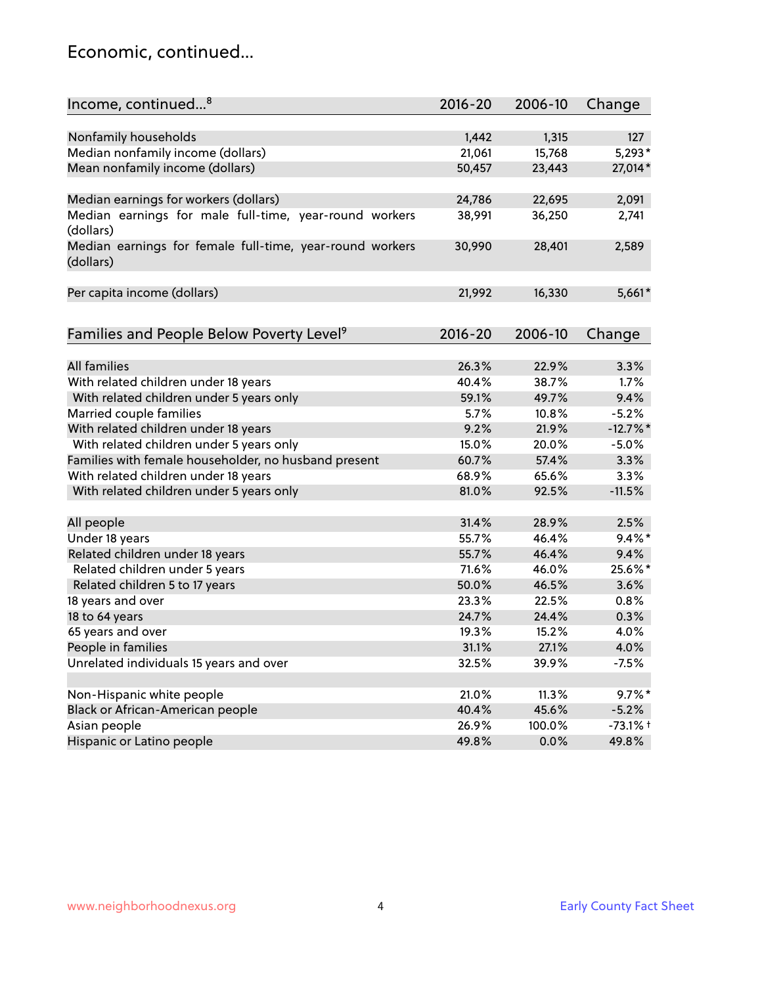### Economic, continued...

| Nonfamily households<br>1,442<br>1,315<br>127<br>Median nonfamily income (dollars)<br>21,061<br>$5,293*$<br>15,768<br>Mean nonfamily income (dollars)<br>27,014*<br>50,457<br>23,443<br>Median earnings for workers (dollars)<br>24,786<br>22,695<br>2,091<br>Median earnings for male full-time, year-round workers<br>36,250<br>38,991<br>2,741<br>(dollars)<br>Median earnings for female full-time, year-round workers<br>30,990<br>28,401<br>2,589<br>(dollars)<br>16,330<br>Per capita income (dollars)<br>21,992<br>5,661*<br>Families and People Below Poverty Level <sup>9</sup><br>$2016 - 20$<br>2006-10<br>Change<br><b>All families</b><br>26.3%<br>22.9%<br>3.3%<br>With related children under 18 years<br>38.7%<br>1.7%<br>40.4%<br>With related children under 5 years only<br>9.4%<br>59.1%<br>49.7% |
|------------------------------------------------------------------------------------------------------------------------------------------------------------------------------------------------------------------------------------------------------------------------------------------------------------------------------------------------------------------------------------------------------------------------------------------------------------------------------------------------------------------------------------------------------------------------------------------------------------------------------------------------------------------------------------------------------------------------------------------------------------------------------------------------------------------------|
|                                                                                                                                                                                                                                                                                                                                                                                                                                                                                                                                                                                                                                                                                                                                                                                                                        |
|                                                                                                                                                                                                                                                                                                                                                                                                                                                                                                                                                                                                                                                                                                                                                                                                                        |
|                                                                                                                                                                                                                                                                                                                                                                                                                                                                                                                                                                                                                                                                                                                                                                                                                        |
|                                                                                                                                                                                                                                                                                                                                                                                                                                                                                                                                                                                                                                                                                                                                                                                                                        |
|                                                                                                                                                                                                                                                                                                                                                                                                                                                                                                                                                                                                                                                                                                                                                                                                                        |
|                                                                                                                                                                                                                                                                                                                                                                                                                                                                                                                                                                                                                                                                                                                                                                                                                        |
|                                                                                                                                                                                                                                                                                                                                                                                                                                                                                                                                                                                                                                                                                                                                                                                                                        |
|                                                                                                                                                                                                                                                                                                                                                                                                                                                                                                                                                                                                                                                                                                                                                                                                                        |
|                                                                                                                                                                                                                                                                                                                                                                                                                                                                                                                                                                                                                                                                                                                                                                                                                        |
|                                                                                                                                                                                                                                                                                                                                                                                                                                                                                                                                                                                                                                                                                                                                                                                                                        |
|                                                                                                                                                                                                                                                                                                                                                                                                                                                                                                                                                                                                                                                                                                                                                                                                                        |
|                                                                                                                                                                                                                                                                                                                                                                                                                                                                                                                                                                                                                                                                                                                                                                                                                        |
|                                                                                                                                                                                                                                                                                                                                                                                                                                                                                                                                                                                                                                                                                                                                                                                                                        |
|                                                                                                                                                                                                                                                                                                                                                                                                                                                                                                                                                                                                                                                                                                                                                                                                                        |
|                                                                                                                                                                                                                                                                                                                                                                                                                                                                                                                                                                                                                                                                                                                                                                                                                        |
| $-5.2%$<br>Married couple families<br>5.7%<br>10.8%                                                                                                                                                                                                                                                                                                                                                                                                                                                                                                                                                                                                                                                                                                                                                                    |
| With related children under 18 years<br>9.2%<br>21.9%<br>$-12.7%$                                                                                                                                                                                                                                                                                                                                                                                                                                                                                                                                                                                                                                                                                                                                                      |
| With related children under 5 years only<br>15.0%<br>20.0%<br>$-5.0%$                                                                                                                                                                                                                                                                                                                                                                                                                                                                                                                                                                                                                                                                                                                                                  |
| Families with female householder, no husband present<br>57.4%<br>3.3%<br>60.7%                                                                                                                                                                                                                                                                                                                                                                                                                                                                                                                                                                                                                                                                                                                                         |
| With related children under 18 years<br>68.9%<br>65.6%<br>3.3%                                                                                                                                                                                                                                                                                                                                                                                                                                                                                                                                                                                                                                                                                                                                                         |
| With related children under 5 years only<br>81.0%<br>92.5%<br>$-11.5%$                                                                                                                                                                                                                                                                                                                                                                                                                                                                                                                                                                                                                                                                                                                                                 |
| All people<br>31.4%<br>28.9%<br>2.5%                                                                                                                                                                                                                                                                                                                                                                                                                                                                                                                                                                                                                                                                                                                                                                                   |
| Under 18 years<br>$9.4\%$ *<br>55.7%<br>46.4%                                                                                                                                                                                                                                                                                                                                                                                                                                                                                                                                                                                                                                                                                                                                                                          |
| Related children under 18 years<br>55.7%<br>46.4%<br>9.4%                                                                                                                                                                                                                                                                                                                                                                                                                                                                                                                                                                                                                                                                                                                                                              |
| 25.6%*<br>Related children under 5 years<br>71.6%<br>46.0%                                                                                                                                                                                                                                                                                                                                                                                                                                                                                                                                                                                                                                                                                                                                                             |
| Related children 5 to 17 years<br>50.0%<br>46.5%<br>3.6%                                                                                                                                                                                                                                                                                                                                                                                                                                                                                                                                                                                                                                                                                                                                                               |
| 0.8%<br>18 years and over<br>23.3%<br>22.5%                                                                                                                                                                                                                                                                                                                                                                                                                                                                                                                                                                                                                                                                                                                                                                            |
| 0.3%<br>18 to 64 years<br>24.7%<br>24.4%                                                                                                                                                                                                                                                                                                                                                                                                                                                                                                                                                                                                                                                                                                                                                                               |
| 65 years and over<br>19.3%<br>15.2%<br>4.0%                                                                                                                                                                                                                                                                                                                                                                                                                                                                                                                                                                                                                                                                                                                                                                            |
| People in families<br>31.1%<br>27.1%<br>4.0%                                                                                                                                                                                                                                                                                                                                                                                                                                                                                                                                                                                                                                                                                                                                                                           |
| Unrelated individuals 15 years and over<br>32.5%<br>$-7.5%$<br>39.9%                                                                                                                                                                                                                                                                                                                                                                                                                                                                                                                                                                                                                                                                                                                                                   |
|                                                                                                                                                                                                                                                                                                                                                                                                                                                                                                                                                                                                                                                                                                                                                                                                                        |
| Non-Hispanic white people<br>$9.7\%$ *<br>21.0%<br>11.3%                                                                                                                                                                                                                                                                                                                                                                                                                                                                                                                                                                                                                                                                                                                                                               |
| Black or African-American people<br>40.4%<br>45.6%<br>$-5.2%$                                                                                                                                                                                                                                                                                                                                                                                                                                                                                                                                                                                                                                                                                                                                                          |
| 26.9%<br>$-73.1%$ +<br>Asian people<br>100.0%                                                                                                                                                                                                                                                                                                                                                                                                                                                                                                                                                                                                                                                                                                                                                                          |
| Hispanic or Latino people<br>49.8%<br>49.8%<br>0.0%                                                                                                                                                                                                                                                                                                                                                                                                                                                                                                                                                                                                                                                                                                                                                                    |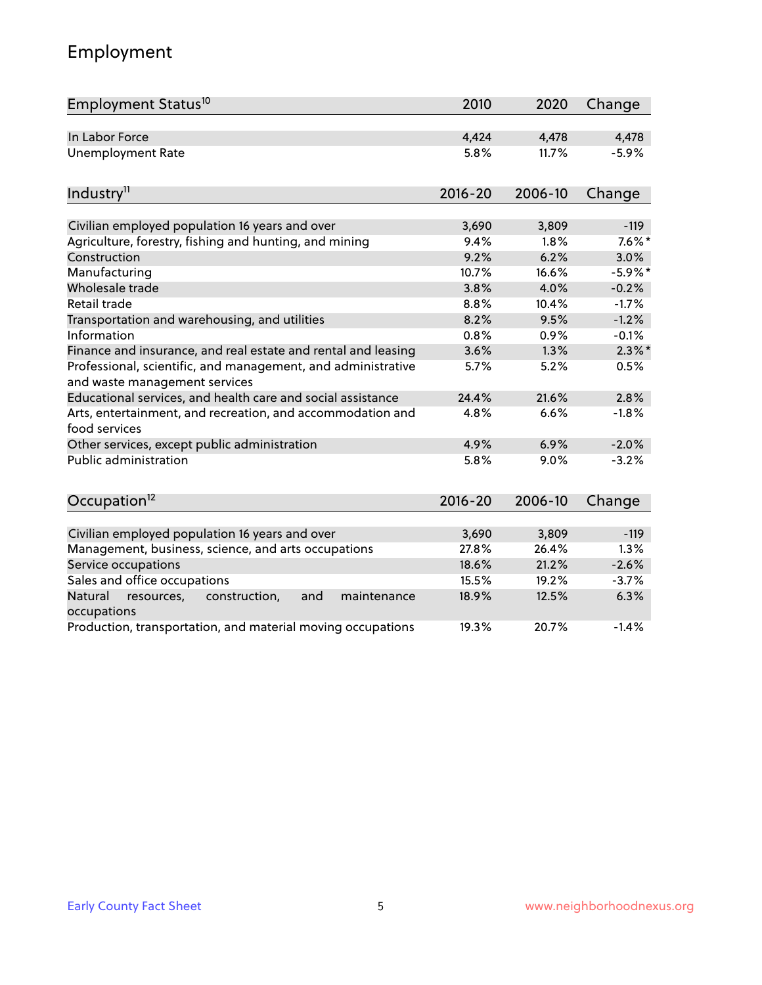# Employment

| Employment Status <sup>10</sup>                                                               | 2010        | 2020    | Change     |
|-----------------------------------------------------------------------------------------------|-------------|---------|------------|
| In Labor Force                                                                                | 4,424       | 4,478   | 4,478      |
| <b>Unemployment Rate</b>                                                                      | 5.8%        | 11.7%   | $-5.9%$    |
| Industry <sup>11</sup>                                                                        | $2016 - 20$ | 2006-10 | Change     |
|                                                                                               |             |         |            |
| Civilian employed population 16 years and over                                                | 3,690       | 3,809   | $-119$     |
| Agriculture, forestry, fishing and hunting, and mining                                        | 9.4%        | 1.8%    | $7.6\%$ *  |
| Construction                                                                                  | 9.2%        | 6.2%    | 3.0%       |
| Manufacturing                                                                                 | 10.7%       | 16.6%   | $-5.9\%$ * |
| Wholesale trade                                                                               | 3.8%        | 4.0%    | $-0.2%$    |
| Retail trade                                                                                  | 8.8%        | 10.4%   | $-1.7%$    |
| Transportation and warehousing, and utilities                                                 | 8.2%        | 9.5%    | $-1.2%$    |
| Information                                                                                   | 0.8%        | 0.9%    | $-0.1%$    |
| Finance and insurance, and real estate and rental and leasing                                 | 3.6%        | 1.3%    | $2.3\%$ *  |
| Professional, scientific, and management, and administrative<br>and waste management services | 5.7%        | 5.2%    | 0.5%       |
| Educational services, and health care and social assistance                                   | 24.4%       | 21.6%   | 2.8%       |
| Arts, entertainment, and recreation, and accommodation and<br>food services                   | 4.8%        | 6.6%    | $-1.8%$    |
| Other services, except public administration                                                  | 4.9%        | 6.9%    | $-2.0%$    |
| Public administration                                                                         | 5.8%        | 9.0%    | $-3.2%$    |
| Occupation <sup>12</sup>                                                                      | $2016 - 20$ | 2006-10 | Change     |
|                                                                                               |             |         |            |
| Civilian employed population 16 years and over                                                | 3,690       | 3,809   | $-119$     |
| Management, business, science, and arts occupations                                           | 27.8%       | 26.4%   | 1.3%       |
| Service occupations                                                                           | 18.6%       | 21.2%   | $-2.6%$    |
| Sales and office occupations                                                                  | 15.5%       | 19.2%   | $-3.7%$    |
| Natural<br>construction,<br>and<br>maintenance<br>resources,<br>occupations                   | 18.9%       | 12.5%   | 6.3%       |
| Production, transportation, and material moving occupations                                   | 19.3%       | 20.7%   | $-1.4%$    |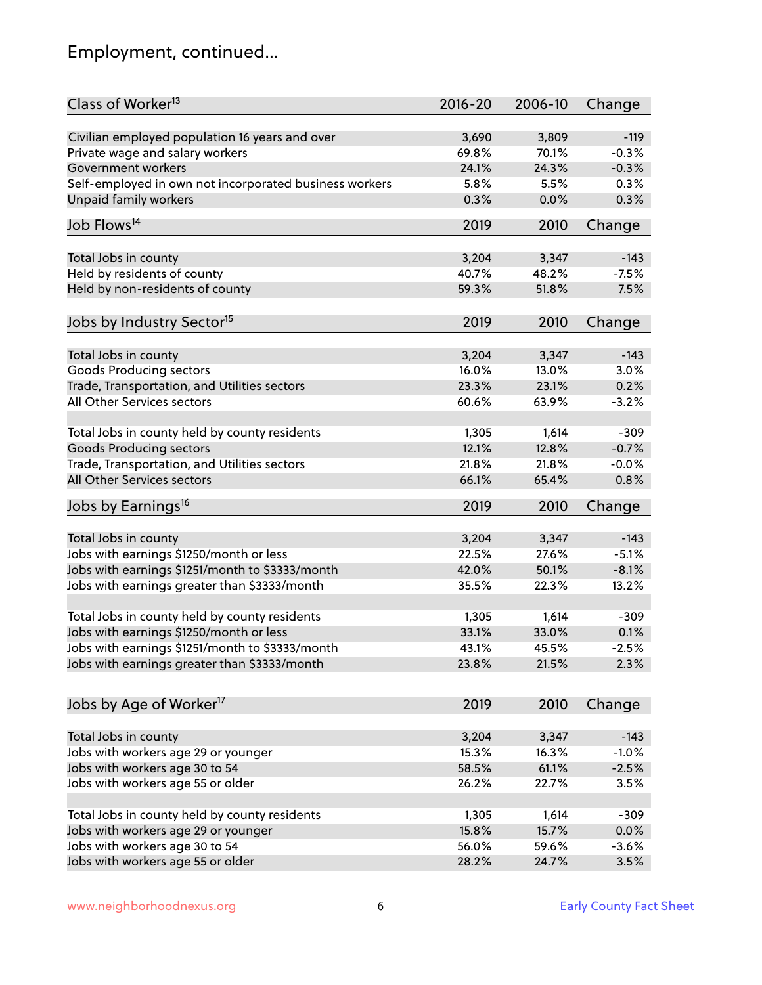# Employment, continued...

| Class of Worker <sup>13</sup>                          | $2016 - 20$ | 2006-10 | Change  |
|--------------------------------------------------------|-------------|---------|---------|
| Civilian employed population 16 years and over         | 3,690       | 3,809   | $-119$  |
| Private wage and salary workers                        | 69.8%       | 70.1%   | $-0.3%$ |
| Government workers                                     | 24.1%       | 24.3%   | $-0.3%$ |
| Self-employed in own not incorporated business workers | 5.8%        | 5.5%    | 0.3%    |
| <b>Unpaid family workers</b>                           | 0.3%        | 0.0%    | 0.3%    |
|                                                        |             |         |         |
| Job Flows <sup>14</sup>                                | 2019        | 2010    | Change  |
|                                                        | 3,204       | 3,347   | $-143$  |
| Total Jobs in county<br>Held by residents of county    | 40.7%       | 48.2%   | $-7.5%$ |
|                                                        |             |         |         |
| Held by non-residents of county                        | 59.3%       | 51.8%   | 7.5%    |
| Jobs by Industry Sector <sup>15</sup>                  | 2019        | 2010    | Change  |
| Total Jobs in county                                   | 3,204       | 3,347   | $-143$  |
| Goods Producing sectors                                | 16.0%       | 13.0%   | 3.0%    |
| Trade, Transportation, and Utilities sectors           | 23.3%       | 23.1%   | 0.2%    |
| All Other Services sectors                             | 60.6%       | 63.9%   | $-3.2%$ |
|                                                        |             |         |         |
| Total Jobs in county held by county residents          | 1,305       | 1,614   | $-309$  |
| <b>Goods Producing sectors</b>                         | 12.1%       | 12.8%   | $-0.7%$ |
| Trade, Transportation, and Utilities sectors           | 21.8%       | 21.8%   | $-0.0%$ |
| All Other Services sectors                             | 66.1%       | 65.4%   | 0.8%    |
| Jobs by Earnings <sup>16</sup>                         | 2019        | 2010    | Change  |
|                                                        |             |         |         |
| Total Jobs in county                                   | 3,204       | 3,347   | $-143$  |
| Jobs with earnings \$1250/month or less                | 22.5%       | 27.6%   | $-5.1%$ |
| Jobs with earnings \$1251/month to \$3333/month        | 42.0%       | 50.1%   | $-8.1%$ |
| Jobs with earnings greater than \$3333/month           | 35.5%       | 22.3%   | 13.2%   |
| Total Jobs in county held by county residents          | 1,305       | 1,614   | $-309$  |
| Jobs with earnings \$1250/month or less                | 33.1%       | 33.0%   | 0.1%    |
| Jobs with earnings \$1251/month to \$3333/month        | 43.1%       | 45.5%   | $-2.5%$ |
| Jobs with earnings greater than \$3333/month           | 23.8%       | 21.5%   | 2.3%    |
|                                                        |             |         |         |
| Jobs by Age of Worker <sup>17</sup>                    | 2019        | 2010    | Change  |
| Total Jobs in county                                   | 3,204       | 3,347   | $-143$  |
| Jobs with workers age 29 or younger                    | 15.3%       | 16.3%   | $-1.0%$ |
| Jobs with workers age 30 to 54                         | 58.5%       | 61.1%   | $-2.5%$ |
| Jobs with workers age 55 or older                      | 26.2%       | 22.7%   | 3.5%    |
|                                                        |             |         |         |
| Total Jobs in county held by county residents          | 1,305       | 1,614   | $-309$  |
| Jobs with workers age 29 or younger                    | 15.8%       | 15.7%   | 0.0%    |
| Jobs with workers age 30 to 54                         | 56.0%       | 59.6%   | $-3.6%$ |
| Jobs with workers age 55 or older                      | 28.2%       | 24.7%   | 3.5%    |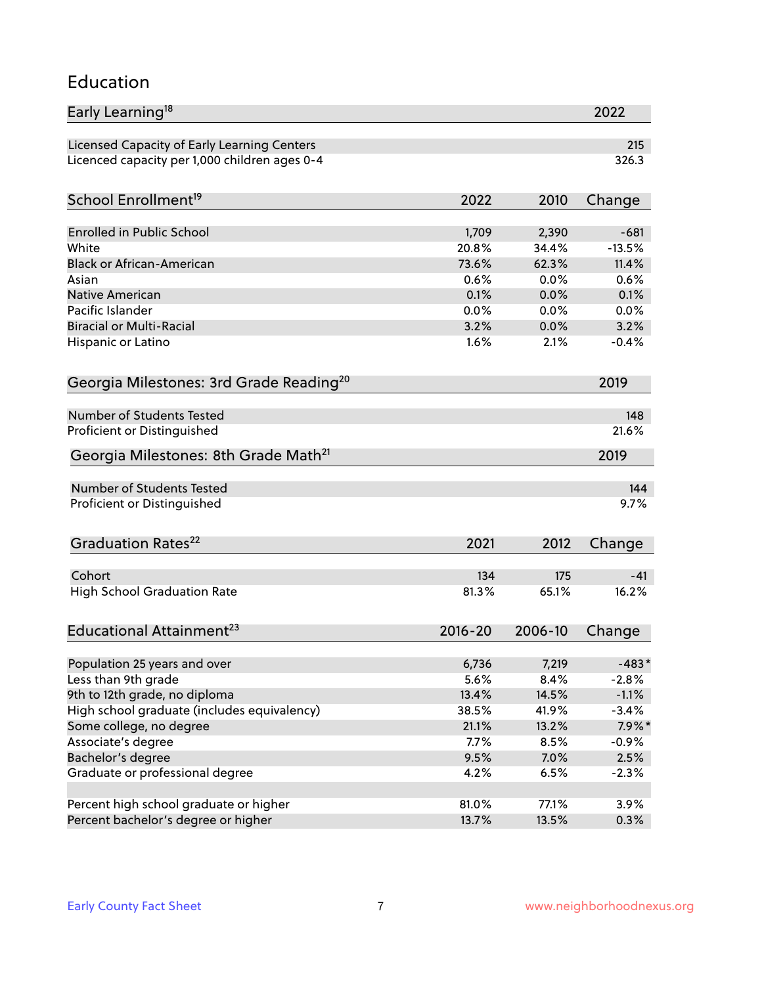### Education

| Early Learning <sup>18</sup>                        |               |               | 2022               |
|-----------------------------------------------------|---------------|---------------|--------------------|
| Licensed Capacity of Early Learning Centers         |               |               | 215                |
| Licenced capacity per 1,000 children ages 0-4       |               |               | 326.3              |
| School Enrollment <sup>19</sup>                     | 2022          | 2010          | Change             |
|                                                     |               |               |                    |
| Enrolled in Public School                           | 1,709         | 2,390         | $-681$             |
| White                                               | 20.8%         | 34.4%         | $-13.5%$           |
| <b>Black or African-American</b>                    | 73.6%         | 62.3%         | 11.4%              |
| Asian                                               | 0.6%          | 0.0%          | 0.6%               |
| Native American                                     | 0.1%          | 0.0%          | 0.1%               |
| Pacific Islander                                    | 0.0%          | 0.0%          | 0.0%               |
| <b>Biracial or Multi-Racial</b>                     | 3.2%          | 0.0%          | 3.2%               |
| Hispanic or Latino                                  | 1.6%          | 2.1%          | $-0.4%$            |
| Georgia Milestones: 3rd Grade Reading <sup>20</sup> |               |               | 2019               |
|                                                     |               |               |                    |
| Number of Students Tested                           |               |               | 148                |
| Proficient or Distinguished                         |               |               | 21.6%              |
| Georgia Milestones: 8th Grade Math <sup>21</sup>    |               |               | 2019               |
| Number of Students Tested                           |               |               | 144                |
| Proficient or Distinguished                         |               |               | 9.7%               |
|                                                     |               |               |                    |
| Graduation Rates <sup>22</sup>                      | 2021          | 2012          | Change             |
|                                                     |               |               |                    |
| Cohort                                              | 134           | 175           | $-41$<br>16.2%     |
| <b>High School Graduation Rate</b>                  | 81.3%         | 65.1%         |                    |
| Educational Attainment <sup>23</sup>                | $2016 - 20$   | 2006-10       | Change             |
|                                                     |               |               |                    |
| Population 25 years and over                        | 6,736<br>5.6% | 7,219         | $-483*$            |
| Less than 9th grade                                 |               | 8.4%<br>14.5% | $-2.8%$<br>$-1.1%$ |
| 9th to 12th grade, no diploma                       | 13.4%         |               | $-3.4%$            |
| High school graduate (includes equivalency)         | 38.5%         | 41.9%         |                    |
| Some college, no degree                             | 21.1%         | 13.2%         | $7.9\%$ *          |
| Associate's degree                                  | 7.7%          | 8.5%          | $-0.9%$            |
| Bachelor's degree                                   | 9.5%          | 7.0%          | 2.5%               |
| Graduate or professional degree                     | 4.2%          | 6.5%          | $-2.3%$            |
| Percent high school graduate or higher              | 81.0%         | 77.1%         | 3.9%               |
| Percent bachelor's degree or higher                 | 13.7%         | 13.5%         | 0.3%               |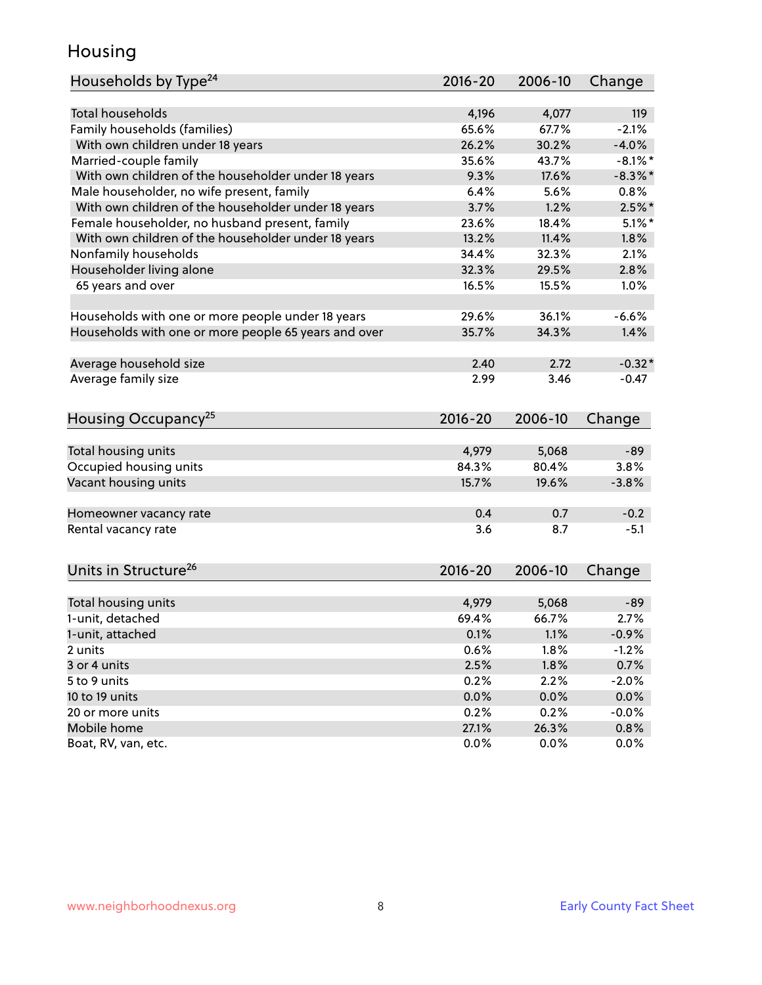### Housing

| Households by Type <sup>24</sup>                     | 2016-20     | 2006-10 | Change     |
|------------------------------------------------------|-------------|---------|------------|
|                                                      |             |         |            |
| <b>Total households</b>                              | 4,196       | 4,077   | 119        |
| Family households (families)                         | 65.6%       | 67.7%   | $-2.1%$    |
| With own children under 18 years                     | 26.2%       | 30.2%   | $-4.0%$    |
| Married-couple family                                | 35.6%       | 43.7%   | $-8.1\%$ * |
| With own children of the householder under 18 years  | 9.3%        | 17.6%   | $-8.3\%$ * |
| Male householder, no wife present, family            | 6.4%        | 5.6%    | 0.8%       |
| With own children of the householder under 18 years  | 3.7%        | 1.2%    | $2.5\%$ *  |
| Female householder, no husband present, family       | 23.6%       | 18.4%   | $5.1\%$ *  |
| With own children of the householder under 18 years  | 13.2%       | 11.4%   | 1.8%       |
| Nonfamily households                                 | 34.4%       | 32.3%   | 2.1%       |
| Householder living alone                             | 32.3%       | 29.5%   | 2.8%       |
| 65 years and over                                    | 16.5%       | 15.5%   | 1.0%       |
| Households with one or more people under 18 years    | 29.6%       | 36.1%   | $-6.6%$    |
| Households with one or more people 65 years and over | 35.7%       | 34.3%   | 1.4%       |
|                                                      |             |         |            |
| Average household size                               | 2.40        | 2.72    | $-0.32*$   |
| Average family size                                  | 2.99        | 3.46    | $-0.47$    |
| Housing Occupancy <sup>25</sup>                      | $2016 - 20$ | 2006-10 | Change     |
|                                                      |             |         |            |
| Total housing units                                  | 4,979       | 5,068   | $-89$      |
| Occupied housing units                               | 84.3%       | 80.4%   | 3.8%       |
| Vacant housing units                                 | 15.7%       | 19.6%   | $-3.8%$    |
| Homeowner vacancy rate                               | 0.4         | 0.7     | $-0.2$     |
| Rental vacancy rate                                  | 3.6         | 8.7     | $-5.1$     |
| Units in Structure <sup>26</sup>                     | 2016-20     | 2006-10 | Change     |
| Total housing units                                  | 4,979       | 5,068   | $-89$      |
| 1-unit, detached                                     | 69.4%       | 66.7%   | 2.7%       |
|                                                      |             |         |            |
| 1-unit, attached                                     | 0.1%        | 1.1%    | $-0.9%$    |
| 2 units                                              | 0.6%        | 1.8%    | $-1.2%$    |
| 3 or 4 units                                         | 2.5%        | 1.8%    | 0.7%       |
| 5 to 9 units                                         | 0.2%        | 2.2%    | $-2.0%$    |
| 10 to 19 units                                       | 0.0%        | 0.0%    | 0.0%       |
| 20 or more units                                     | 0.2%        | 0.2%    | $-0.0%$    |
| Mobile home                                          | 27.1%       | 26.3%   | 0.8%       |
| Boat, RV, van, etc.                                  | 0.0%        | 0.0%    | $0.0\%$    |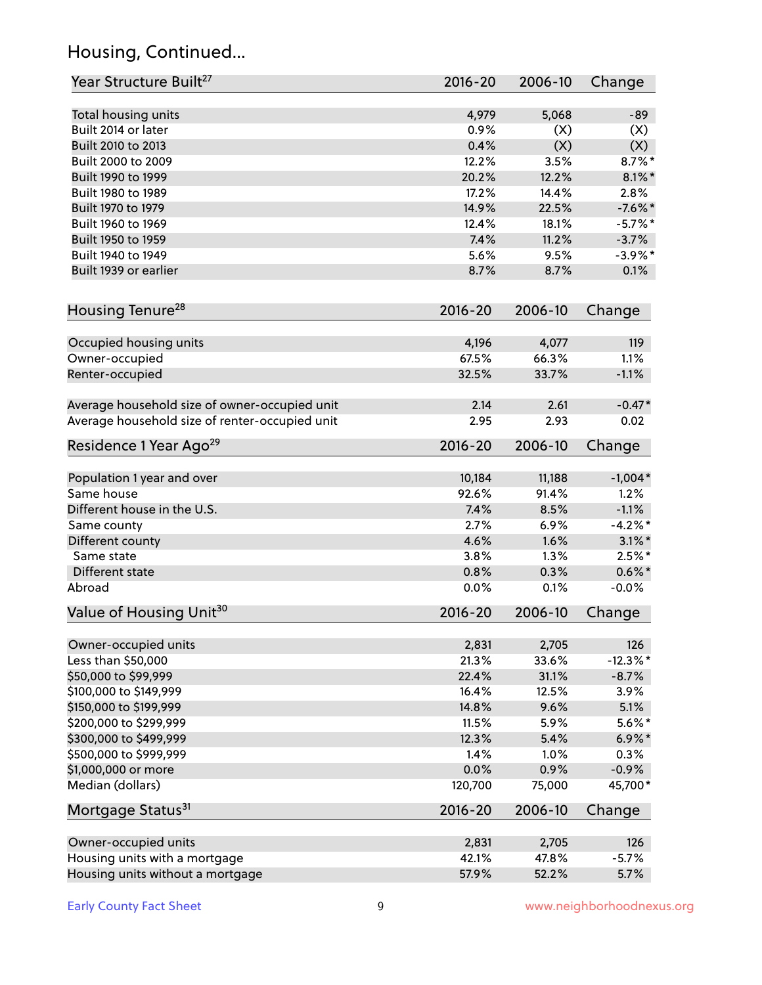# Housing, Continued...

| Year Structure Built <sup>27</sup>             | 2016-20     | 2006-10 | Change      |
|------------------------------------------------|-------------|---------|-------------|
| Total housing units                            | 4,979       | 5,068   | -89         |
| Built 2014 or later                            | 0.9%        | (X)     | (X)         |
| Built 2010 to 2013                             | 0.4%        | (X)     | (X)         |
| Built 2000 to 2009                             | 12.2%       | 3.5%    | $8.7\%$ *   |
| Built 1990 to 1999                             | 20.2%       | 12.2%   | $8.1\%$ *   |
| Built 1980 to 1989                             | 17.2%       | 14.4%   | 2.8%        |
| Built 1970 to 1979                             | 14.9%       | 22.5%   | $-7.6%$ *   |
| Built 1960 to 1969                             | 12.4%       | 18.1%   | $-5.7\%$ *  |
| Built 1950 to 1959                             | 7.4%        | 11.2%   | $-3.7%$     |
| Built 1940 to 1949                             | 5.6%        | 9.5%    | $-3.9\%$ *  |
| Built 1939 or earlier                          | 8.7%        | 8.7%    | 0.1%        |
|                                                |             |         |             |
| Housing Tenure <sup>28</sup>                   | 2016-20     | 2006-10 | Change      |
| Occupied housing units                         | 4,196       | 4,077   | 119         |
| Owner-occupied                                 | 67.5%       | 66.3%   | 1.1%        |
| Renter-occupied                                | 32.5%       | 33.7%   | $-1.1%$     |
| Average household size of owner-occupied unit  | 2.14        | 2.61    | $-0.47*$    |
| Average household size of renter-occupied unit | 2.95        | 2.93    | 0.02        |
| Residence 1 Year Ago <sup>29</sup>             | 2016-20     | 2006-10 | Change      |
| Population 1 year and over                     | 10,184      | 11,188  | $-1,004*$   |
| Same house                                     | 92.6%       | 91.4%   | 1.2%        |
| Different house in the U.S.                    | 7.4%        | 8.5%    | $-1.1%$     |
| Same county                                    | 2.7%        | 6.9%    | $-4.2%$ *   |
| Different county                               | 4.6%        | 1.6%    | $3.1\%$ *   |
| Same state                                     | 3.8%        | 1.3%    | $2.5%$ *    |
| Different state                                | 0.8%        | 0.3%    | $0.6\%$ *   |
| Abroad                                         | 0.0%        | 0.1%    | $-0.0%$     |
| Value of Housing Unit <sup>30</sup>            | 2016-20     | 2006-10 | Change      |
|                                                |             |         |             |
| Owner-occupied units                           | 2,831       | 2,705   | 126         |
| Less than \$50,000                             | 21.3%       | 33.6%   | $-12.3\%$ * |
| \$50,000 to \$99,999                           | 22.4%       | 31.1%   | $-8.7%$     |
| \$100,000 to \$149,999                         | 16.4%       | 12.5%   | 3.9%        |
| \$150,000 to \$199,999                         | 14.8%       | 9.6%    | 5.1%        |
| \$200,000 to \$299,999                         | 11.5%       | 5.9%    | $5.6\%$ *   |
| \$300,000 to \$499,999                         | 12.3%       | 5.4%    | $6.9\% *$   |
| \$500,000 to \$999,999                         | 1.4%        | 1.0%    | 0.3%        |
| \$1,000,000 or more                            | 0.0%        | 0.9%    | $-0.9%$     |
| Median (dollars)                               | 120,700     | 75,000  | 45,700*     |
| Mortgage Status <sup>31</sup>                  | $2016 - 20$ | 2006-10 | Change      |
| Owner-occupied units                           | 2,831       | 2,705   | 126         |
| Housing units with a mortgage                  | 42.1%       | 47.8%   | $-5.7%$     |
| Housing units without a mortgage               | 57.9%       | 52.2%   | 5.7%        |
|                                                |             |         |             |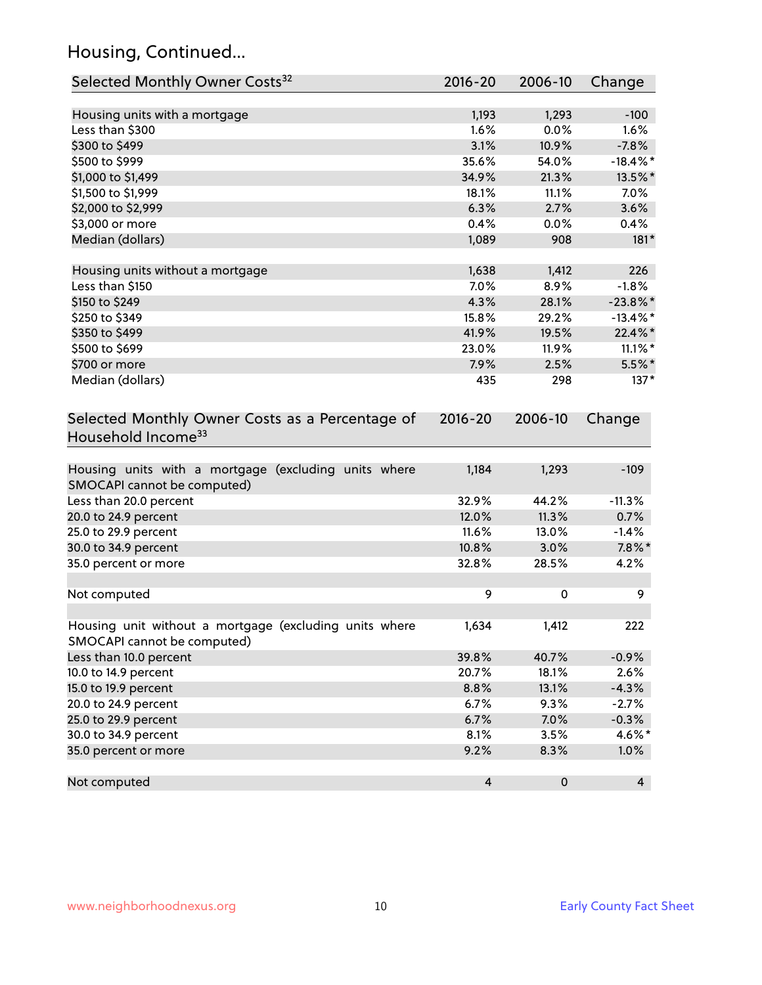# Housing, Continued...

| Selected Monthly Owner Costs <sup>32</sup>                                            | 2016-20                 | 2006-10   | Change      |
|---------------------------------------------------------------------------------------|-------------------------|-----------|-------------|
| Housing units with a mortgage                                                         | 1,193                   | 1,293     | $-100$      |
| Less than \$300                                                                       | 1.6%                    | 0.0%      | 1.6%        |
| \$300 to \$499                                                                        | 3.1%                    | 10.9%     | $-7.8%$     |
| \$500 to \$999                                                                        | 35.6%                   | 54.0%     | $-18.4\%$ * |
| \$1,000 to \$1,499                                                                    | 34.9%                   | 21.3%     | 13.5%*      |
| \$1,500 to \$1,999                                                                    | 18.1%                   | 11.1%     | 7.0%        |
| \$2,000 to \$2,999                                                                    | 6.3%                    | 2.7%      | 3.6%        |
| \$3,000 or more                                                                       | 0.4%                    | 0.0%      | 0.4%        |
| Median (dollars)                                                                      | 1,089                   | 908       | $181*$      |
| Housing units without a mortgage                                                      | 1,638                   | 1,412     | 226         |
| Less than \$150                                                                       | 7.0%                    | 8.9%      | $-1.8%$     |
| \$150 to \$249                                                                        | 4.3%                    | 28.1%     | $-23.8\%$ * |
| \$250 to \$349                                                                        | 15.8%                   | 29.2%     | $-13.4\%$ * |
| \$350 to \$499                                                                        | 41.9%                   | 19.5%     | 22.4%*      |
| \$500 to \$699                                                                        | 23.0%                   | 11.9%     | $11.1\%$ *  |
| \$700 or more                                                                         | 7.9%                    | 2.5%      | $5.5\%$ *   |
| Median (dollars)                                                                      | 435                     | 298       | $137*$      |
| Selected Monthly Owner Costs as a Percentage of<br>Household Income <sup>33</sup>     |                         | 2006-10   | Change      |
| Housing units with a mortgage (excluding units where<br>SMOCAPI cannot be computed)   | 1,184                   | 1,293     | $-109$      |
| Less than 20.0 percent                                                                | 32.9%                   | 44.2%     | $-11.3%$    |
| 20.0 to 24.9 percent                                                                  | 12.0%                   | 11.3%     | 0.7%        |
| 25.0 to 29.9 percent                                                                  | 11.6%                   | 13.0%     | $-1.4%$     |
| 30.0 to 34.9 percent                                                                  | 10.8%                   | 3.0%      | $7.8\%$ *   |
| 35.0 percent or more                                                                  | 32.8%                   | 28.5%     | 4.2%        |
| Not computed                                                                          | 9                       | 0         | 9           |
| Housing unit without a mortgage (excluding units where<br>SMOCAPI cannot be computed) | 1,634                   | 1,412     | 222         |
| Less than 10.0 percent                                                                | 39.8%                   | 40.7%     | $-0.9%$     |
| 10.0 to 14.9 percent                                                                  | 20.7%                   | 18.1%     | 2.6%        |
| 15.0 to 19.9 percent                                                                  | 8.8%                    | 13.1%     | $-4.3%$     |
| 20.0 to 24.9 percent                                                                  | 6.7%                    | 9.3%      | $-2.7%$     |
| 25.0 to 29.9 percent                                                                  | 6.7%                    | 7.0%      | $-0.3%$     |
| 30.0 to 34.9 percent                                                                  | 8.1%                    | 3.5%      | 4.6%*       |
| 35.0 percent or more                                                                  | 9.2%                    | 8.3%      | 1.0%        |
| Not computed                                                                          | $\overline{\mathbf{4}}$ | $\pmb{0}$ | 4           |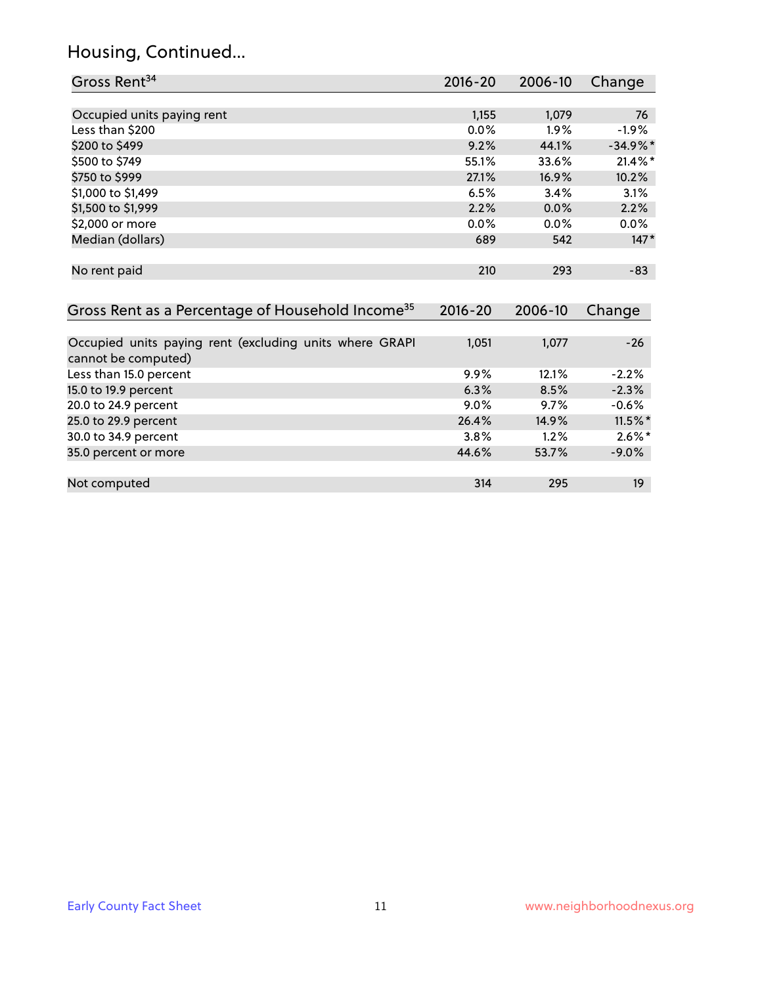# Housing, Continued...

| Gross Rent <sup>34</sup>                                                       | 2016-20     | 2006-10 | Change     |
|--------------------------------------------------------------------------------|-------------|---------|------------|
|                                                                                |             |         |            |
| Occupied units paying rent                                                     | 1,155       | 1,079   | 76         |
| Less than \$200                                                                | 0.0%        | 1.9%    | $-1.9%$    |
| \$200 to \$499                                                                 | 9.2%        | 44.1%   | $-34.9%$ * |
| \$500 to \$749                                                                 | 55.1%       | 33.6%   | $21.4\%$ * |
| \$750 to \$999                                                                 | 27.1%       | 16.9%   | 10.2%      |
| \$1,000 to \$1,499                                                             | 6.5%        | 3.4%    | 3.1%       |
| \$1,500 to \$1,999                                                             | 2.2%        | 0.0%    | 2.2%       |
| \$2,000 or more                                                                | 0.0%        | 0.0%    | 0.0%       |
| Median (dollars)                                                               | 689         | 542     | $147*$     |
|                                                                                |             |         |            |
| No rent paid                                                                   | 210         | 293     | $-83$      |
|                                                                                |             |         |            |
| Gross Rent as a Percentage of Household Income <sup>35</sup>                   | $2016 - 20$ | 2006-10 | Change     |
|                                                                                |             |         |            |
| Occupied units paying rent (excluding units where GRAPI<br>cannot be computed) | 1,051       | 1,077   | $-26$      |
| Less than 15.0 percent                                                         | 9.9%        | 12.1%   | $-2.2%$    |
| 15.0 to 19.9 percent                                                           | 6.3%        | 8.5%    | $-2.3%$    |
| 20.0 to 24.9 percent                                                           | 9.0%        | 9.7%    | $-0.6%$    |
| 25.0 to 29.9 percent                                                           | 26.4%       | 14.9%   | $11.5\%$ * |
| 30.0 to 34.9 percent                                                           | 3.8%        | 1.2%    | $2.6\%*$   |
| 35.0 percent or more                                                           | 44.6%       | 53.7%   | $-9.0\%$   |
|                                                                                |             |         |            |
| Not computed                                                                   | 314         | 295     | 19         |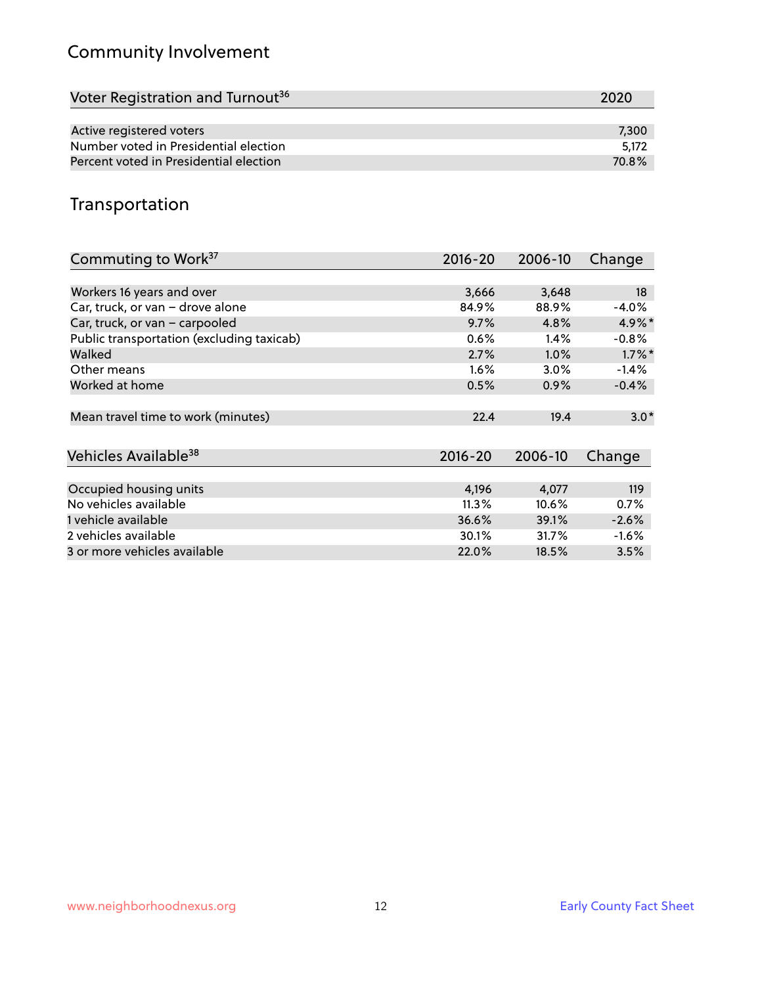# Community Involvement

| Voter Registration and Turnout <sup>36</sup> | 2020  |
|----------------------------------------------|-------|
|                                              |       |
| Active registered voters                     | 7,300 |
| Number voted in Presidential election        | 5.172 |
| Percent voted in Presidential election       | 70.8% |

## Transportation

| Commuting to Work <sup>37</sup>           | 2016-20     | 2006-10 | Change    |
|-------------------------------------------|-------------|---------|-----------|
|                                           |             |         |           |
| Workers 16 years and over                 | 3,666       | 3,648   | 18        |
| Car, truck, or van - drove alone          | 84.9%       | 88.9%   | $-4.0%$   |
| Car, truck, or van - carpooled            | 9.7%        | 4.8%    | $4.9\%$ * |
| Public transportation (excluding taxicab) | 0.6%        | $1.4\%$ | $-0.8%$   |
| Walked                                    | 2.7%        | 1.0%    | $1.7\%$ * |
| Other means                               | 1.6%        | 3.0%    | $-1.4%$   |
| Worked at home                            | 0.5%        | 0.9%    | $-0.4%$   |
|                                           |             |         |           |
| Mean travel time to work (minutes)        | 22.4        | 19.4    | $3.0*$    |
|                                           |             |         |           |
| Vehicles Available <sup>38</sup>          | $2016 - 20$ | 2006-10 | Change    |
|                                           |             |         |           |
| Occupied housing units                    | 4,196       | 4,077   | 119       |
| No vehicles available                     | 11.3%       | 10.6%   | 0.7%      |
| 1 vehicle available                       | 36.6%       | 39.1%   | $-2.6%$   |
| 2 vehicles available                      | 30.1%       | 31.7%   | $-1.6%$   |
| 3 or more vehicles available              | 22.0%       | 18.5%   | 3.5%      |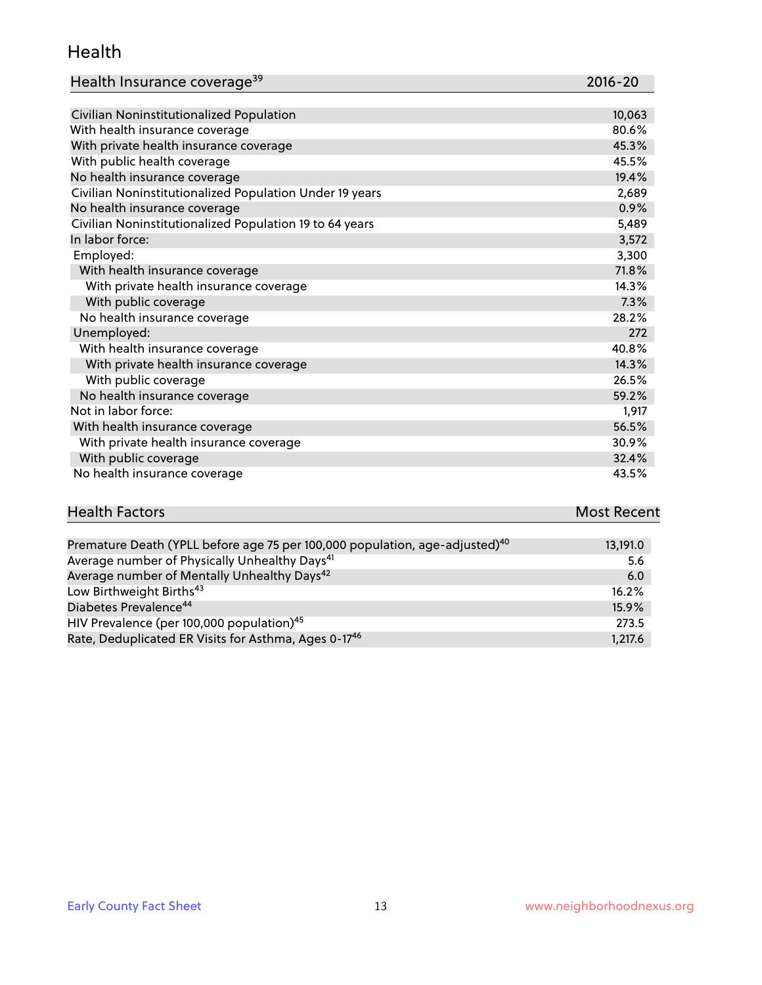#### Health

| Health Insurance coverage <sup>39</sup> | 2016-20 |
|-----------------------------------------|---------|
|-----------------------------------------|---------|

| Civilian Noninstitutionalized Population                | 10,063 |
|---------------------------------------------------------|--------|
| With health insurance coverage                          | 80.6%  |
| With private health insurance coverage                  | 45.3%  |
| With public health coverage                             | 45.5%  |
| No health insurance coverage                            | 19.4%  |
| Civilian Noninstitutionalized Population Under 19 years | 2,689  |
| No health insurance coverage                            | 0.9%   |
| Civilian Noninstitutionalized Population 19 to 64 years | 5,489  |
| In labor force:                                         | 3,572  |
| Employed:                                               | 3,300  |
| With health insurance coverage                          | 71.8%  |
| With private health insurance coverage                  | 14.3%  |
| With public coverage                                    | 7.3%   |
| No health insurance coverage                            | 28.2%  |
| Unemployed:                                             | 272    |
| With health insurance coverage                          | 40.8%  |
| With private health insurance coverage                  | 14.3%  |
| With public coverage                                    | 26.5%  |
| No health insurance coverage                            | 59.2%  |
| Not in labor force:                                     | 1,917  |
| With health insurance coverage                          | 56.5%  |
| With private health insurance coverage                  | 30.9%  |
| With public coverage                                    | 32.4%  |
| No health insurance coverage                            | 43.5%  |

| <b>Health Factors</b>                                                                   | <b>Most Recent</b> |
|-----------------------------------------------------------------------------------------|--------------------|
|                                                                                         |                    |
| Premature Death (YPLL before age 75 per 100,000 population, age-adjusted) <sup>40</sup> | 13,191.0           |
|                                                                                         |                    |

| Average number of Physically Unhealthy Days <sup>41</sup>        | 5.6      |
|------------------------------------------------------------------|----------|
| Average number of Mentally Unhealthy Days <sup>42</sup>          | 6.0      |
| Low Birthweight Births <sup>43</sup>                             | $16.2\%$ |
| Diabetes Prevalence <sup>44</sup>                                | 15.9%    |
| HIV Prevalence (per 100,000 population) <sup>45</sup>            | 273.5    |
| Rate, Deduplicated ER Visits for Asthma, Ages 0-17 <sup>46</sup> | 1,217.6  |